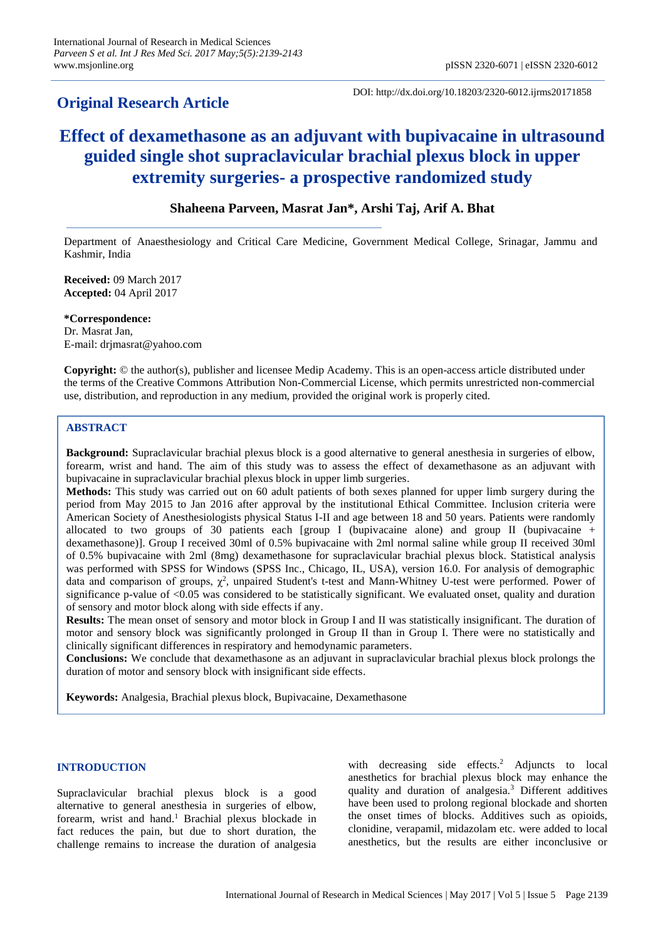# **Original Research Article**

DOI: http://dx.doi.org/10.18203/2320-6012.ijrms20171858

# **Effect of dexamethasone as an adjuvant with bupivacaine in ultrasound guided single shot supraclavicular brachial plexus block in upper extremity surgeries- a prospective randomized study**

# **Shaheena Parveen, Masrat Jan\*, Arshi Taj, Arif A. Bhat**

Department of Anaesthesiology and Critical Care Medicine, Government Medical College, Srinagar, Jammu and Kashmir, India

**Received:** 09 March 2017 **Accepted:** 04 April 2017

**\*Correspondence:** Dr. Masrat Jan, E-mail: drjmasrat@yahoo.com

**Copyright:** © the author(s), publisher and licensee Medip Academy. This is an open-access article distributed under the terms of the Creative Commons Attribution Non-Commercial License, which permits unrestricted non-commercial use, distribution, and reproduction in any medium, provided the original work is properly cited.

# **ABSTRACT**

**Background:** Supraclavicular brachial plexus block is a good alternative to general anesthesia in surgeries of elbow, forearm, wrist and hand. The aim of this study was to assess the effect of dexamethasone as an adjuvant with bupivacaine in supraclavicular brachial plexus block in upper limb surgeries.

**Methods:** This study was carried out on 60 adult patients of both sexes planned for upper limb surgery during the period from May 2015 to Jan 2016 after approval by the institutional Ethical Committee. Inclusion criteria were American Society of Anesthesiologists physical Status I-II and age between 18 and 50 years. Patients were randomly allocated to two groups of 30 patients each [group I (bupivacaine alone) and group II (bupivacaine + dexamethasone)]. Group I received 30ml of 0.5% bupivacaine with 2ml normal saline while group II received 30ml of 0.5% bupivacaine with 2ml (8mg) dexamethasone for supraclavicular brachial plexus block. Statistical analysis was performed with SPSS for Windows (SPSS Inc., Chicago, IL, USA), version 16.0. For analysis of demographic data and comparison of groups,  $\chi^2$ , unpaired Student's t-test and Mann-Whitney U-test were performed. Power of significance p-value of  $< 0.05$  was considered to be statistically significant. We evaluated onset, quality and duration of sensory and motor block along with side effects if any.

**Results:** The mean onset of sensory and motor block in Group I and II was statistically insignificant. The duration of motor and sensory block was significantly prolonged in Group II than in Group I. There were no statistically and clinically significant differences in respiratory and hemodynamic parameters.

**Conclusions:** We conclude that dexamethasone as an adjuvant in supraclavicular brachial plexus block prolongs the duration of motor and sensory block with insignificant side effects.

**Keywords:** Analgesia, Brachial plexus block, Bupivacaine, Dexamethasone

# **INTRODUCTION**

Supraclavicular brachial plexus block is a good alternative to general anesthesia in surgeries of elbow, forearm, wrist and hand.<sup>1</sup> Brachial plexus blockade in fact reduces the pain, but due to short duration, the challenge remains to increase the duration of analgesia with decreasing side effects.<sup>2</sup> Adjuncts to local anesthetics for brachial plexus block may enhance the quality and duration of analgesia.<sup>3</sup> Different additives have been used to prolong regional blockade and shorten the onset times of blocks. Additives such as opioids, clonidine, verapamil, midazolam etc. were added to local anesthetics, but the results are either inconclusive or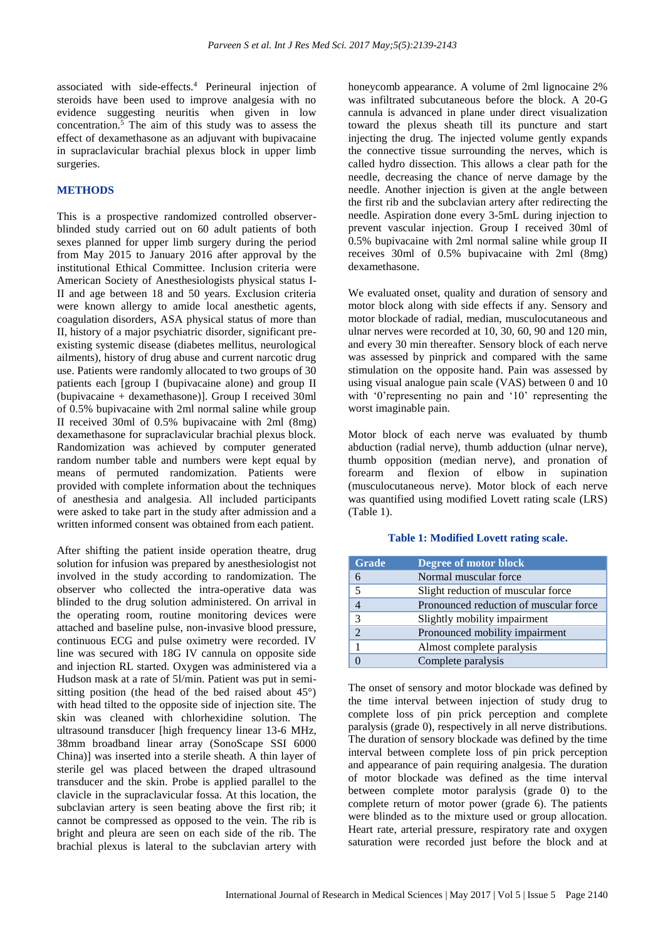associated with side-effects.<sup>4</sup> Perineural injection of steroids have been used to improve analgesia with no evidence suggesting neuritis when given in low concentration.<sup>5</sup> The aim of this study was to assess the effect of dexamethasone as an adjuvant with bupivacaine in supraclavicular brachial plexus block in upper limb surgeries.

### **METHODS**

This is a prospective randomized controlled observerblinded study carried out on 60 adult patients of both sexes planned for upper limb surgery during the period from May 2015 to January 2016 after approval by the institutional Ethical Committee. Inclusion criteria were American Society of Anesthesiologists physical status I-II and age between 18 and 50 years. Exclusion criteria were known allergy to amide local anesthetic agents, coagulation disorders, ASA physical status of more than II, history of a major psychiatric disorder, significant preexisting systemic disease (diabetes mellitus, neurological ailments), history of drug abuse and current narcotic drug use. Patients were randomly allocated to two groups of 30 patients each [group I (bupivacaine alone) and group II (bupivacaine + dexamethasone)]. Group I received 30ml of 0.5% bupivacaine with 2ml normal saline while group II received 30ml of 0.5% bupivacaine with 2ml (8mg) dexamethasone for supraclavicular brachial plexus block. Randomization was achieved by computer generated random number table and numbers were kept equal by means of permuted randomization. Patients were provided with complete information about the techniques of anesthesia and analgesia. All included participants were asked to take part in the study after admission and a written informed consent was obtained from each patient.

After shifting the patient inside operation theatre, drug solution for infusion was prepared by anesthesiologist not involved in the study according to randomization. The observer who collected the intra-operative data was blinded to the drug solution administered. On arrival in the operating room, routine monitoring devices were attached and baseline pulse, non-invasive blood pressure, continuous ECG and pulse oximetry were recorded. IV line was secured with 18G IV cannula on opposite side and injection RL started. Oxygen was administered via a Hudson mask at a rate of 5l/min. Patient was put in semisitting position (the head of the bed raised about 45°) with head tilted to the opposite side of injection site. The skin was cleaned with chlorhexidine solution. The ultrasound transducer [high frequency linear 13-6 MHz, 38mm broadband linear array (SonoScape SSI 6000 China)] was inserted into a sterile sheath. A thin layer of sterile gel was placed between the draped ultrasound transducer and the skin. Probe is applied parallel to the clavicle in the supraclavicular fossa. At this location, the subclavian artery is seen beating above the first rib; it cannot be compressed as opposed to the vein. The rib is bright and pleura are seen on each side of the rib. The brachial plexus is lateral to the subclavian artery with honeycomb appearance. A volume of 2ml lignocaine 2% was infiltrated subcutaneous before the block. A 20-G cannula is advanced in plane under direct visualization toward the plexus sheath till its puncture and start injecting the drug. The injected volume gently expands the connective tissue surrounding the nerves, which is called hydro dissection. This allows a clear path for the needle, decreasing the chance of nerve damage by the needle. Another injection is given at the angle between the first rib and the subclavian artery after redirecting the needle. Aspiration done every 3-5mL during injection to prevent vascular injection. Group I received 30ml of 0.5% bupivacaine with 2ml normal saline while group II receives 30ml of 0.5% bupivacaine with 2ml (8mg) dexamethasone.

We evaluated onset, quality and duration of sensory and motor block along with side effects if any. Sensory and motor blockade of radial, median, musculocutaneous and ulnar nerves were recorded at 10, 30, 60, 90 and 120 min, and every 30 min thereafter. Sensory block of each nerve was assessed by pinprick and compared with the same stimulation on the opposite hand. Pain was assessed by using visual analogue pain scale (VAS) between 0 and 10 with '0'representing no pain and '10' representing the worst imaginable pain.

Motor block of each nerve was evaluated by thumb abduction (radial nerve), thumb adduction (ulnar nerve), thumb opposition (median nerve), and pronation of forearm and flexion of elbow in supination (musculocutaneous nerve). Motor block of each nerve was quantified using modified Lovett rating scale (LRS) (Table 1).

#### **Table 1: Modified Lovett rating scale.**

| <b>Grade</b>   | Degree of motor block                  |
|----------------|----------------------------------------|
| 6              | Normal muscular force                  |
| 5              | Slight reduction of muscular force     |
|                | Pronounced reduction of muscular force |
| 3              | Slightly mobility impairment           |
| $\overline{2}$ | Pronounced mobility impairment         |
|                | Almost complete paralysis              |
|                | Complete paralysis                     |

The onset of sensory and motor blockade was defined by the time interval between injection of study drug to complete loss of pin prick perception and complete paralysis (grade 0), respectively in all nerve distributions. The duration of sensory blockade was defined by the time interval between complete loss of pin prick perception and appearance of pain requiring analgesia. The duration of motor blockade was defined as the time interval between complete motor paralysis (grade 0) to the complete return of motor power (grade 6). The patients were blinded as to the mixture used or group allocation. Heart rate, arterial pressure, respiratory rate and oxygen saturation were recorded just before the block and at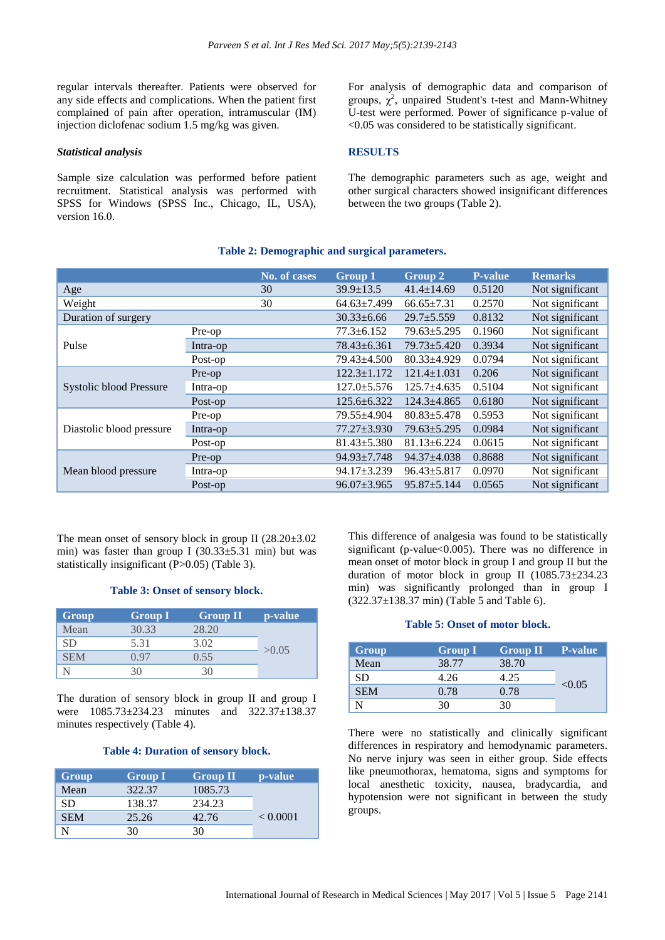regular intervals thereafter. Patients were observed for any side effects and complications. When the patient first complained of pain after operation, intramuscular (IM) injection diclofenac sodium 1.5 mg/kg was given.

#### *Statistical analysis*

Sample size calculation was performed before patient recruitment. Statistical analysis was performed with SPSS for Windows (SPSS Inc., Chicago, IL, USA), version 16.0.

For analysis of demographic data and comparison of groups,  $\chi^2$ , unpaired Student's t-test and Mann-Whitney U-test were performed. Power of significance p-value of <0.05 was considered to be statistically significant.

#### **RESULTS**

The demographic parameters such as age, weight and other surgical characters showed insignificant differences between the two groups (Table 2).

# **Table 2: Demographic and surgical parameters.**

|                          |          | No. of cases | Group 1           | Group 2           | <b>P-value</b> | <b>Remarks</b>  |
|--------------------------|----------|--------------|-------------------|-------------------|----------------|-----------------|
| Age                      |          | 30           | $39.9 \pm 13.5$   | $41.4 \pm 14.69$  | 0.5120         | Not significant |
| Weight                   |          | 30           | $64.63 \pm 7.499$ | $66.65 \pm 7.31$  | 0.2570         | Not significant |
| Duration of surgery      |          |              | $30.33 \pm 6.66$  | $29.7 \pm 5.559$  | 0.8132         | Not significant |
|                          | Pre-op   |              | $77.3 \pm 6.152$  | $79.63 \pm 5.295$ | 0.1960         | Not significant |
| Pulse                    | Intra-op |              | $78.43 \pm 6.361$ | $79.73 \pm 5.420$ | 0.3934         | Not significant |
|                          | Post-op  |              | 79.43±4.500       | $80.33 \pm 4.929$ | 0.0794         | Not significant |
|                          | Pre-op   |              | $122.3 \pm 1.172$ | $121.4 \pm 1.031$ | 0.206          | Not significant |
| Systolic blood Pressure  | Intra-op |              | $127.0 \pm 5.576$ | 125.7±4.635       | 0.5104         | Not significant |
|                          | Post-op  |              | $125.6 \pm 6.322$ | $124.3 + 4.865$   | 0.6180         | Not significant |
| Diastolic blood pressure | Pre-op   |              | 79.55±4.904       | $80.83 \pm 5.478$ | 0.5953         | Not significant |
|                          | Intra-op |              | $77.27 \pm 3.930$ | $79.63 \pm 5.295$ | 0.0984         | Not significant |
|                          | Post-op  |              | $81.43 \pm 5.380$ | $81.13 \pm 6.224$ | 0.0615         | Not significant |
| Mean blood pressure      | Pre-op   |              | $94.93 \pm 7.748$ | $94.37 \pm 4.038$ | 0.8688         | Not significant |
|                          | Intra-op |              | $94.17 \pm 3.239$ | $96.43 \pm 5.817$ | 0.0970         | Not significant |
|                          | Post-op  |              | $96.07 \pm 3.965$ | $95.87 \pm 5.144$ | 0.0565         | Not significant |

The mean onset of sensory block in group II  $(28.20\pm3.02)$ min) was faster than group I  $(30.33 \pm 5.31 \text{ min})$  but was statistically insignificant (P>0.05) (Table 3).

#### **Table 3: Onset of sensory block.**

| Group | <b>Group I</b> | <b>Group II</b> | p-value |
|-------|----------------|-----------------|---------|
| Mean  | 30.33          | 28.20           |         |
| SD.   | 5.31           | 3.02            | >0.05   |
| SEM   | 197            | 0.55            |         |
|       |                |                 |         |

The duration of sensory block in group II and group I were 1085.73±234.23 minutes and 322.37±138.37 minutes respectively (Table 4).

#### **Table 4: Duration of sensory block.**

| Group      | <b>Group I</b> | <b>Group II</b> | p-value  |
|------------|----------------|-----------------|----------|
| Mean       | 322.37         | 1085.73         |          |
| SD.        | 138.37         | 234.23          |          |
| <b>SEM</b> | 25.26          | 42.76           | < 0.0001 |
|            | 30             | 30              |          |

This difference of analgesia was found to be statistically significant (p-value<0.005). There was no difference in mean onset of motor block in group I and group II but the duration of motor block in group II (1085.73±234.23 min) was significantly prolonged than in group I  $(322.37 \pm 138.37 \text{ min})$  (Table 5 and Table 6).

#### **Table 5: Onset of motor block.**

| Group      | <b>Group I</b> | <b>Group II</b> | <b>P</b> -value |
|------------|----------------|-----------------|-----------------|
| Mean       | 38.77          | 38.70           |                 |
| SD         | 4.26           | 4.25            | < 0.05          |
| <b>SEM</b> | 0.78           | 0.78            |                 |
|            | 30             | 30              |                 |

There were no statistically and clinically significant differences in respiratory and hemodynamic parameters. No nerve injury was seen in either group. Side effects like pneumothorax, hematoma, signs and symptoms for local anesthetic toxicity, nausea, bradycardia, and hypotension were not significant in between the study groups.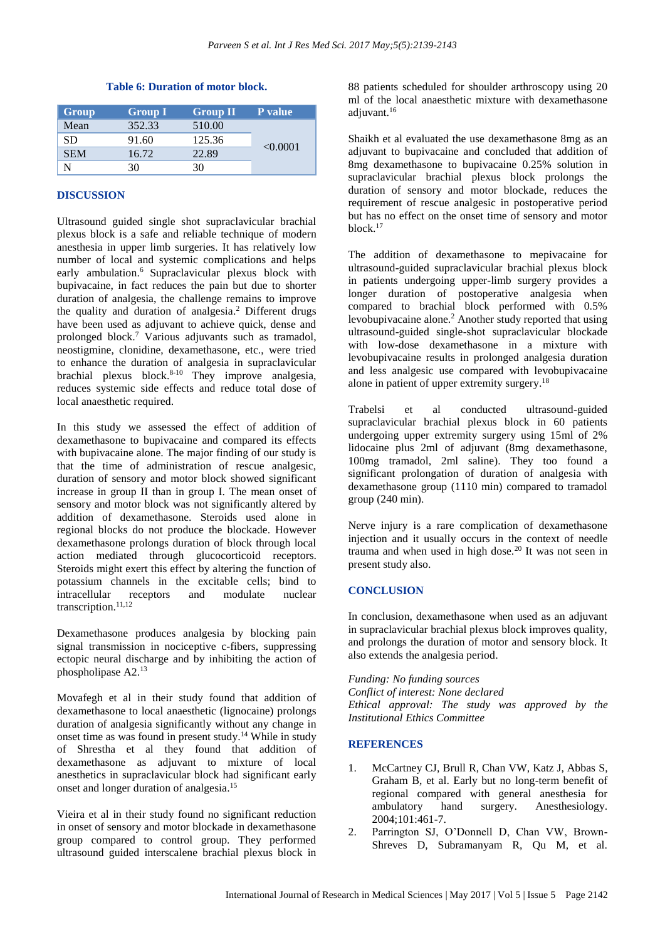| <b>Table 6: Duration of motor block.</b> |  |
|------------------------------------------|--|
|------------------------------------------|--|

| Group      | <b>Group I</b> | <b>Group II</b> | P value  |
|------------|----------------|-----------------|----------|
| Mean       | 352.33         | 510.00          |          |
| SD.        | 91.60          | 125.36          |          |
| <b>SEM</b> | 16.72          | 22.89           | < 0.0001 |
|            | 30             | 30              |          |

# **DISCUSSION**

Ultrasound guided single shot supraclavicular brachial plexus block is a safe and reliable technique of modern anesthesia in upper limb surgeries. It has relatively low number of local and systemic complications and helps early ambulation.<sup>6</sup> Supraclavicular plexus block with bupivacaine, in fact reduces the pain but due to shorter duration of analgesia, the challenge remains to improve the quality and duration of analgesia. <sup>2</sup> Different drugs have been used as adjuvant to achieve quick, dense and prolonged block.<sup>7</sup> Various adjuvants such as tramadol, neostigmine, clonidine, dexamethasone, etc., were tried to enhance the duration of analgesia in supraclavicular brachial plexus block. 8-10 They improve analgesia, reduces systemic side effects and reduce total dose of local anaesthetic required.

In this study we assessed the effect of addition of dexamethasone to bupivacaine and compared its effects with bupivacaine alone. The major finding of our study is that the time of administration of rescue analgesic, duration of sensory and motor block showed significant increase in group II than in group I. The mean onset of sensory and motor block was not significantly altered by addition of dexamethasone. Steroids used alone in regional blocks do not produce the blockade. However dexamethasone prolongs duration of block through local action mediated through glucocorticoid receptors. Steroids might exert this effect by altering the function of potassium channels in the excitable cells; bind to intracellular receptors and modulate nuclear transcription. 11,12

Dexamethasone produces analgesia by blocking pain signal transmission in nociceptive c-fibers, suppressing ectopic neural discharge and by inhibiting the action of phospholipase A2. 13

Movafegh et al in their study found that addition of dexamethasone to local anaesthetic (lignocaine) prolongs duration of analgesia significantly without any change in onset time as was found in present study. <sup>14</sup> While in study of Shrestha et al they found that addition of dexamethasone as adjuvant to mixture of local anesthetics in supraclavicular block had significant early onset and longer duration of analgesia. 15

Vieira et al in their study found no significant reduction in onset of sensory and motor blockade in dexamethasone group compared to control group. They performed ultrasound guided interscalene brachial plexus block in 88 patients scheduled for shoulder arthroscopy using 20 ml of the local anaesthetic mixture with dexamethasone adjuvant. 16

Shaikh et al evaluated the use dexamethasone 8mg as an adjuvant to bupivacaine and concluded that addition of 8mg dexamethasone to bupivacaine 0.25% solution in supraclavicular brachial plexus block prolongs the duration of sensory and motor blockade, reduces the requirement of rescue analgesic in postoperative period but has no effect on the onset time of sensory and motor block. 17

The addition of dexamethasone to mepivacaine for ultrasound-guided supraclavicular brachial plexus block in patients undergoing upper-limb surgery provides a longer duration of postoperative analgesia when compared to brachial block performed with 0.5% levobupivacaine alone.<sup>2</sup> Another study reported that using ultrasound-guided single-shot supraclavicular blockade with low-dose dexamethasone in a mixture with levobupivacaine results in prolonged analgesia duration and less analgesic use compared with levobupivacaine alone in patient of upper extremity surgery. 18

Trabelsi et al conducted ultrasound-guided supraclavicular brachial plexus block in 60 patients undergoing upper extremity surgery using 15ml of 2% lidocaine plus 2ml of adjuvant (8mg dexamethasone, 100mg tramadol, 2ml saline). They too found a significant prolongation of duration of analgesia with dexamethasone group (1110 min) compared to tramadol group (240 min).

Nerve injury is a rare complication of dexamethasone injection and it usually occurs in the context of needle trauma and when used in high dose.<sup>20</sup> It was not seen in present study also.

# **CONCLUSION**

In conclusion, dexamethasone when used as an adjuvant in supraclavicular brachial plexus block improves quality, and prolongs the duration of motor and sensory block. It also extends the analgesia period.

*Funding: No funding sources Conflict of interest: None declared*

*Ethical approval: The study was approved by the Institutional Ethics Committee*

# **REFERENCES**

- 1. McCartney CJ, Brull R, Chan VW, Katz J, Abbas S, Graham B, et al. Early but no long-term benefit of regional compared with general anesthesia for ambulatory hand surgery. Anesthesiology. 2004;101:461-7.
- 2. Parrington SJ, O'Donnell D, Chan VW, Brown-Shreves D, Subramanyam R, Qu M, et al.